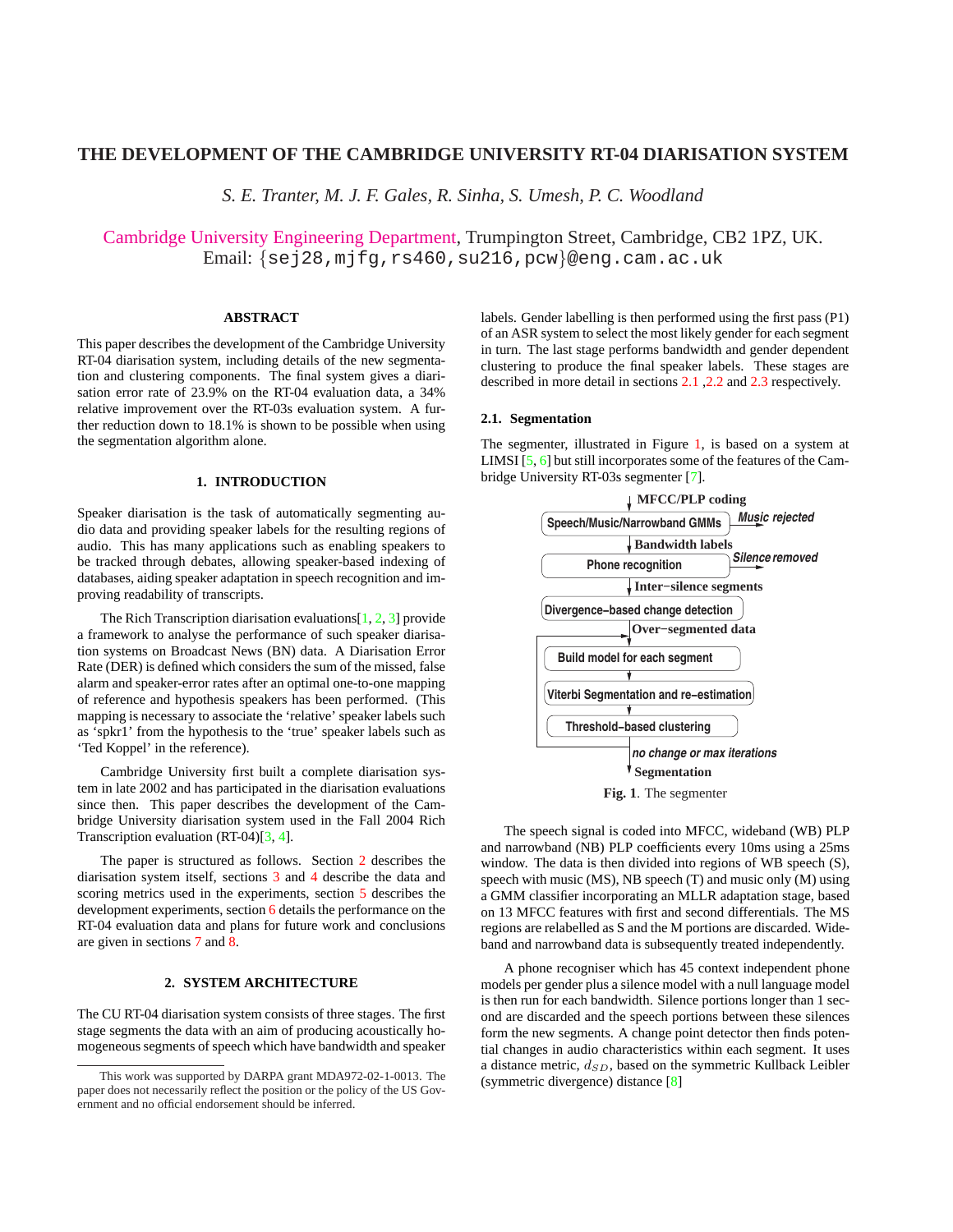# <span id="page-0-0"></span>**THE DEVELOPMENT OF THE CAMBRIDGE UNIVERSITY RT-04 DIARISATION SYSTEM**

*S. E. Tranter, M. J. F. Gales, R. Sinha, S. Umesh, P. C. Woodland*

[Cambridge University Engineering Department,](http://mi.eng.cam.ac.uk/) Trumpington Street, Cambridge, CB2 1PZ, UK. Email: {sej28,mjfg,rs460,su216,pcw}@eng.cam.ac.uk

# **ABSTRACT**

This paper describes the development of the Cambridge University RT-04 diarisation system, including details of the new segmentation and clustering components. The final system gives a diarisation error rate of 23.9% on the RT-04 evaluation data, a 34% relative improvement over the RT-03s evaluation system. A further reduction down to 18.1% is shown to be possible when using the segmentation algorithm alone.

## **1. INTRODUCTION**

Speaker diarisation is the task of automatically segmenting audio data and providing speaker labels for the resulting regions of audio. This has many applications such as enabling speakers to be tracked through debates, allowing speaker-based indexing of databases, aiding speaker adaptation in speech recognition and improving readability of transcripts.

The Rich Transcription diarisation evaluations[\[1,](#page-7-0) [2,](#page-7-0) [3\]](#page-7-0) provide a framework to analyse the performance of such speaker diarisation systems on Broadcast News (BN) data. A Diarisation Error Rate (DER) is defined which considers the sum of the missed, false alarm and speaker-error rates after an optimal one-to-one mapping of reference and hypothesis speakers has been performed. (This mapping is necessary to associate the 'relative' speaker labels such as 'spkr1' from the hypothesis to the 'true' speaker labels such as 'Ted Koppel' in the reference).

Cambridge University first built a complete diarisation system in late 2002 and has participated in the diarisation evaluations since then. This paper describes the development of the Cambridge University diarisation system used in the Fall 2004 Rich Transcription evaluation (RT-04)[\[3,](#page-7-0) [4\]](#page-7-0).

The paper is structured as follows. Section 2 describes the diarisation system itself, sections [3](#page-1-0) and [4](#page-1-0) describe the data and scoring metrics used in the experiments, section [5](#page-2-0) describes the development experiments, section [6](#page-6-0) details the performance on the RT-04 evaluation data and plans for future work and conclusions are given in sections [7](#page-7-0) and [8.](#page-7-0)

## **2. SYSTEM ARCHITECTURE**

The CU RT-04 diarisation system consists of three stages. The first stage segments the data with an aim of producing acoustically homogeneous segments of speech which have bandwidth and speaker labels. Gender labelling is then performed using the first pass (P1) of an ASR system to select the most likely gender for each segment in turn. The last stage performs bandwidth and gender dependent clustering to produce the final speaker labels. These stages are described in more detail in sections 2.1 [,2.2](#page-1-0) and [2.3](#page-1-0) respectively.

### **2.1. Segmentation**

The segmenter, illustrated in Figure 1, is based on a system at LIMSI [\[5,](#page-7-0) [6\]](#page-7-0) but still incorporates some of the features of the Cambridge University RT-03s segmenter [\[7\]](#page-7-0).



**Fig. 1**. The segmenter

The speech signal is coded into MFCC, wideband (WB) PLP and narrowband (NB) PLP coefficients every 10ms using a 25ms window. The data is then divided into regions of WB speech (S), speech with music (MS), NB speech (T) and music only (M) using a GMM classifier incorporating an MLLR adaptation stage, based on 13 MFCC features with first and second differentials. The MS regions are relabelled as S and the M portions are discarded. Wideband and narrowband data is subsequently treated independently.

A phone recogniser which has 45 context independent phone models per gender plus a silence model with a null language model is then run for each bandwidth. Silence portions longer than 1 second are discarded and the speech portions between these silences form the new segments. A change point detector then finds potential changes in audio characteristics within each segment. It uses a distance metric,  $d_{SD}$ , based on the symmetric Kullback Leibler (symmetric divergence) distance [\[8\]](#page-7-0)

This work was supported by DARPA grant MDA972-02-1-0013. The paper does not necessarily reflect the position or the policy of the US Government and no official endorsement should be inferred.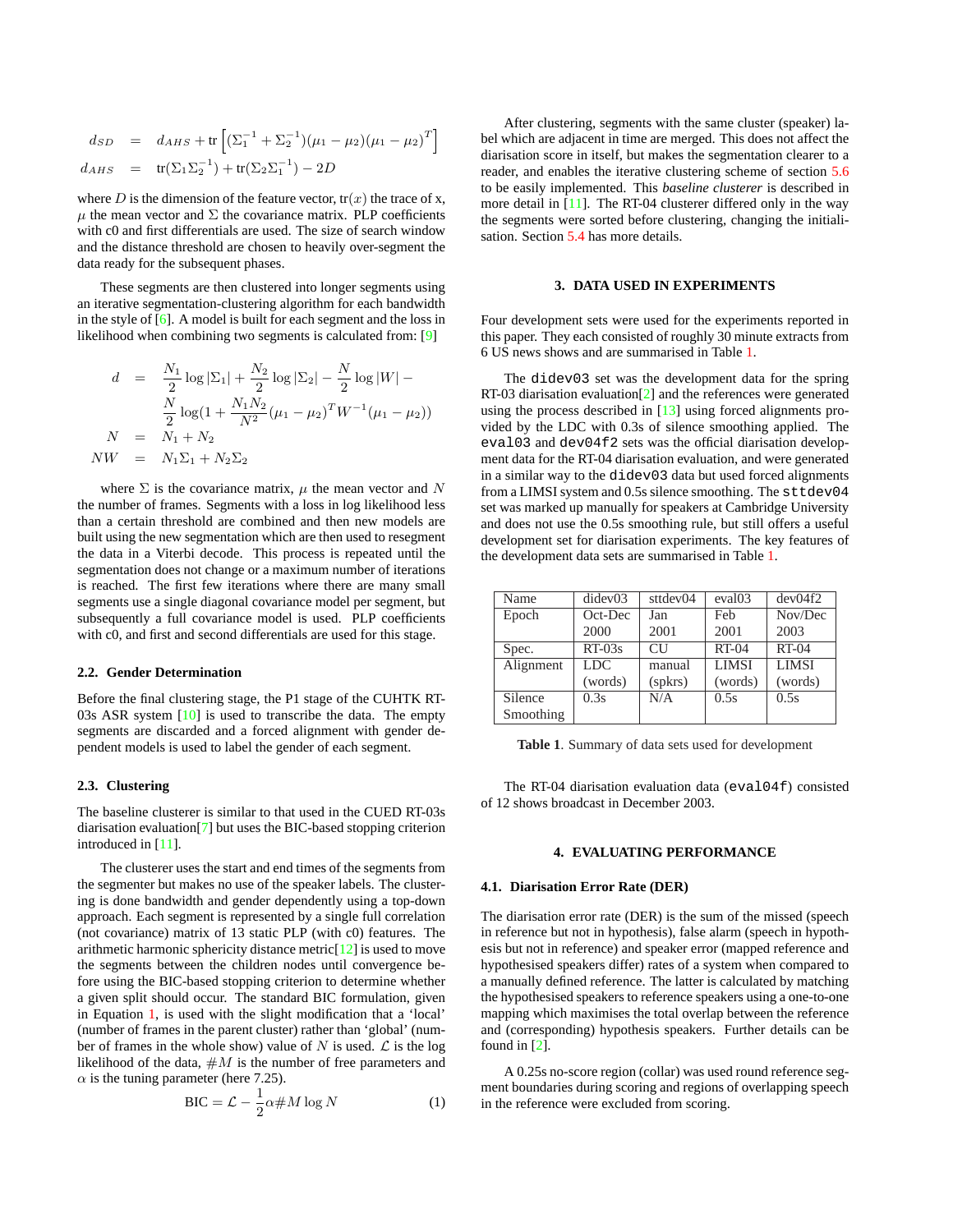<span id="page-1-0"></span>
$$
d_{SD} = d_{AHS} + \text{tr}\left[ (\Sigma_1^{-1} + \Sigma_2^{-1}) (\mu_1 - \mu_2) (\mu_1 - \mu_2)^T \right]
$$
  

$$
d_{AHS} = \text{tr}(\Sigma_1 \Sigma_2^{-1}) + \text{tr}(\Sigma_2 \Sigma_1^{-1}) - 2D
$$

where D is the dimension of the feature vector,  $tr(x)$  the trace of x,  $\mu$  the mean vector and  $\Sigma$  the covariance matrix. PLP coefficients with c0 and first differentials are used. The size of search window and the distance threshold are chosen to heavily over-segment the data ready for the subsequent phases.

These segments are then clustered into longer segments using an iterative segmentation-clustering algorithm for each bandwidth in the style of [\[6\]](#page-7-0). A model is built for each segment and the loss in likelihood when combining two segments is calculated from: [\[9\]](#page-7-0)

$$
d = \frac{N_1}{2} \log |\Sigma_1| + \frac{N_2}{2} \log |\Sigma_2| - \frac{N}{2} \log |W| -
$$
  

$$
\frac{N}{2} \log (1 + \frac{N_1 N_2}{N^2} (\mu_1 - \mu_2)^T W^{-1} (\mu_1 - \mu_2))
$$
  

$$
N = N_1 + N_2
$$
  

$$
NW = N_1 \Sigma_1 + N_2 \Sigma_2
$$

where  $\Sigma$  is the covariance matrix,  $\mu$  the mean vector and N the number of frames. Segments with a loss in log likelihood less than a certain threshold are combined and then new models are built using the new segmentation which are then used to resegment the data in a Viterbi decode. This process is repeated until the segmentation does not change or a maximum number of iterations is reached. The first few iterations where there are many small segments use a single diagonal covariance model per segment, but subsequently a full covariance model is used. PLP coefficients with c0, and first and second differentials are used for this stage.

#### **2.2. Gender Determination**

Before the final clustering stage, the P1 stage of the CUHTK RT-03s ASR system [\[10\]](#page-7-0) is used to transcribe the data. The empty segments are discarded and a forced alignment with gender dependent models is used to label the gender of each segment.

## **2.3. Clustering**

The baseline clusterer is similar to that used in the CUED RT-03s diarisation evaluation[\[7\]](#page-7-0) but uses the BIC-based stopping criterion introduced in [\[11\]](#page-7-0).

The clusterer uses the start and end times of the segments from the segmenter but makes no use of the speaker labels. The clustering is done bandwidth and gender dependently using a top-down approach. Each segment is represented by a single full correlation (not covariance) matrix of 13 static PLP (with c0) features. The arithmetic harmonic sphericity distance metric[\[12\]](#page-7-0) is used to move the segments between the children nodes until convergence before using the BIC-based stopping criterion to determine whether a given split should occur. The standard BIC formulation, given in Equation 1, is used with the slight modification that a 'local' (number of frames in the parent cluster) rather than 'global' (number of frames in the whole show) value of N is used.  $\mathcal L$  is the log likelihood of the data,  $\#M$  is the number of free parameters and  $\alpha$  is the tuning parameter (here 7.25).

$$
BIC = \mathcal{L} - \frac{1}{2}\alpha \# M \log N \tag{1}
$$

After clustering, segments with the same cluster (speaker) label which are adjacent in time are merged. This does not affect the diarisation score in itself, but makes the segmentation clearer to a reader, and enables the iterative clustering scheme of section [5.6](#page-5-0) to be easily implemented. This *baseline clusterer* is described in more detail in [\[11\]](#page-7-0). The RT-04 clusterer differed only in the way the segments were sorted before clustering, changing the initialisation. Section [5.4](#page-3-0) has more details.

### **3. DATA USED IN EXPERIMENTS**

Four development sets were used for the experiments reported in this paper. They each consisted of roughly 30 minute extracts from 6 US news shows and are summarised in Table 1.

The didev03 set was the development data for the spring RT-03 diarisation evaluation[\[2\]](#page-7-0) and the references were generated using the process described in [\[13\]](#page-7-0) using forced alignments provided by the LDC with 0.3s of silence smoothing applied. The eval03 and dev04f2 sets was the official diarisation development data for the RT-04 diarisation evaluation, and were generated in a similar way to the didev03 data but used forced alignments from a LIMSI system and 0.5s silence smoothing. The sttdev04 set was marked up manually for speakers at Cambridge University and does not use the 0.5s smoothing rule, but still offers a useful development set for diarisation experiments. The key features of the development data sets are summarised in Table 1.

| Name      | didev <sub>03</sub> | sttdev04                           | eval <sub>03</sub> | dev04f2      |
|-----------|---------------------|------------------------------------|--------------------|--------------|
| Epoch     | Oct-Dec             | Jan                                | Feb                | Nov/Dec      |
|           | 2000                | 2001                               | 2001               | 2003         |
| Spec.     | $RT-0.3s$           | $CI$ <sub><math>I</math></sub> $I$ | $RT-04$            | $RT-04$      |
| Alignment | LDC.                | manual                             | <b>LIMSI</b>       | <b>LIMSI</b> |
|           | (words)             | (spkrs)                            | (words)            | (words)      |
| Silence   | 0.3s                | N/A                                | 0.5s               | 0.5s         |
| Smoothing |                     |                                    |                    |              |

**Table 1**. Summary of data sets used for development

The RT-04 diarisation evaluation data (eval04f) consisted of 12 shows broadcast in December 2003.

## **4. EVALUATING PERFORMANCE**

#### **4.1. Diarisation Error Rate (DER)**

The diarisation error rate (DER) is the sum of the missed (speech in reference but not in hypothesis), false alarm (speech in hypothesis but not in reference) and speaker error (mapped reference and hypothesised speakers differ) rates of a system when compared to a manually defined reference. The latter is calculated by matching the hypothesised speakers to reference speakers using a one-to-one mapping which maximises the total overlap between the reference and (corresponding) hypothesis speakers. Further details can be found in [\[2\]](#page-7-0).

A 0.25s no-score region (collar) was used round reference segment boundaries during scoring and regions of overlapping speech in the reference were excluded from scoring.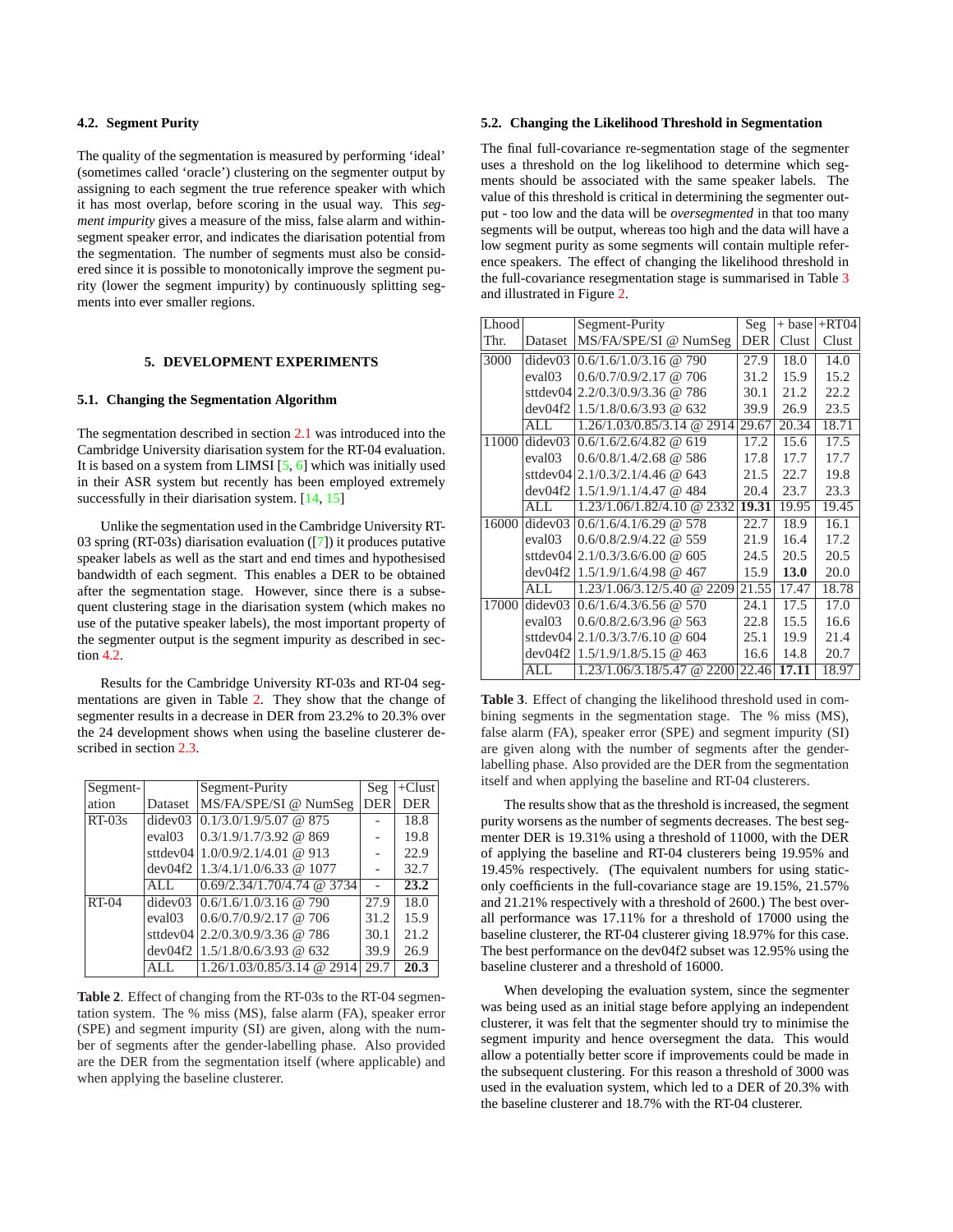#### <span id="page-2-0"></span>**4.2. Segment Purity**

The quality of the segmentation is measured by performing 'ideal' (sometimes called 'oracle') clustering on the segmenter output by assigning to each segment the true reference speaker with which it has most overlap, before scoring in the usual way. This *segment impurity* gives a measure of the miss, false alarm and withinsegment speaker error, and indicates the diarisation potential from the segmentation. The number of segments must also be considered since it is possible to monotonically improve the segment purity (lower the segment impurity) by continuously splitting segments into ever smaller regions.

### **5. DEVELOPMENT EXPERIMENTS**

## **5.1. Changing the Segmentation Algorithm**

The segmentation described in section [2.1](#page-0-0) was introduced into the Cambridge University diarisation system for the RT-04 evaluation. It is based on a system from LIMSI [\[5,](#page-7-0) [6\]](#page-7-0) which was initially used in their ASR system but recently has been employed extremely successfully in their diarisation system. [\[14,](#page-7-0) [15\]](#page-7-0)

Unlike the segmentation used in the Cambridge University RT-03 spring (RT-03s) diarisation evaluation ([\[7\]](#page-7-0)) it produces putative speaker labels as well as the start and end times and hypothesised bandwidth of each segment. This enables a DER to be obtained after the segmentation stage. However, since there is a subsequent clustering stage in the diarisation system (which makes no use of the putative speaker labels), the most important property of the segmenter output is the segment impurity as described in section 4.2.

Results for the Cambridge University RT-03s and RT-04 segmentations are given in Table 2. They show that the change of segmenter results in a decrease in DER from 23.2% to 20.3% over the 24 development shows when using the baseline clusterer described in section [2.3.](#page-1-0)

| Segment- |                    | Segment-Purity                                         | Seg                      | $+Clust$   |
|----------|--------------------|--------------------------------------------------------|--------------------------|------------|
| ation    | Dataset            | MS/FA/SPE/SI @ NumSeg                                  | <b>DER</b>               | <b>DER</b> |
| $RT-03s$ | didev03            | $0.1/3.0/1.9/5.07$ @ 875                               | $\sim$                   | 18.8       |
|          | eval03             | $0.3/1.9/1.7/3.92$ @ 869                               | $\overline{\phantom{a}}$ | 19.8       |
|          |                    | sttdev $04 \mid 1.0 \mid 0.9 \mid 2.1 \mid 4.01$ @ 913 | $\overline{\phantom{a}}$ | 22.9       |
|          |                    | dev04f2 $1.3/4.1/1.0/6.33$ @ 1077                      |                          | 32.7       |
|          | ALL.               | $0.69/2.34/1.70/4.74$ @ 3734                           | $\sim$                   | 23.2       |
| $RT-04$  |                    | didev03 $(0.6/1.6/1.0/3.16 \omega)$ 790                | 27.9                     | 18.0       |
|          | eval <sub>03</sub> | $0.6/0.7/0.9/2.17$ @ 706                               | 31.2                     | 15.9       |
|          |                    | sttdev04 2.2/0.3/0.9/3.36 @ 786                        | 30.1                     | 21.2       |
|          |                    | dev04f2 $1.5/1.8/0.6/3.93$ @ 632                       | 39.9                     | 26.9       |
|          | AI.                | $1.26/1.03/0.85/3.14$ @ 2914                           | 29.7                     | 20.3       |
|          |                    |                                                        |                          |            |

**Table 2**. Effect of changing from the RT-03s to the RT-04 segmentation system. The % miss (MS), false alarm (FA), speaker error (SPE) and segment impurity (SI) are given, along with the number of segments after the gender-labelling phase. Also provided are the DER from the segmentation itself (where applicable) and when applying the baseline clusterer.

#### **5.2. Changing the Likelihood Threshold in Segmentation**

The final full-covariance re-segmentation stage of the segmenter uses a threshold on the log likelihood to determine which segments should be associated with the same speaker labels. The value of this threshold is critical in determining the segmenter output - too low and the data will be *oversegmented* in that too many segments will be output, whereas too high and the data will have a low segment purity as some segments will contain multiple reference speakers. The effect of changing the likelihood threshold in the full-covariance resegmentation stage is summarised in Table 3 and illustrated in Figure [2.](#page-3-0)

| Lhood        |                    | Segment-Purity               | Seg   | + base | $+RT04$ |
|--------------|--------------------|------------------------------|-------|--------|---------|
| Thr.         | Dataset            | MS/FA/SPE/SI @ NumSeg        | DER   | Clust  | Clust   |
| 3000         | didev03            | $0.6/1.6/1.0/3.16$ @ 790     | 27.9  | 18.0   | 14.0    |
|              | eval <sub>03</sub> | $0.6/0.7/0.9/2.17$ @<br>706  | 31.2  | 15.9   | 15.2    |
|              | sttdev04           | $2.2/0.3/0.9/3.36$ @ 786     | 30.1  | 21.2   | 22.2    |
|              | dev04f2            | $1.5/1.8/0.6/3.93$ @ 632     | 39.9  | 26.9   | 23.5    |
|              | ALL.               | 1.26/1.03/0.85/3.14 @ 2914   | 29.67 | 20.34  | 18.71   |
| <b>11000</b> | didev03            | $0.6/1.6/2.6/4.82 \ @ 619$   | 17.2  | 15.6   | 17.5    |
|              | eval <sub>03</sub> | $0.6/0.8/1.4/2.68$ @ 586     | 17.8  | 17.7   | 17.7    |
|              | sttdev04           | $2.1/0.3/2.1/4.46 \ @ \ 643$ | 21.5  | 22.7   | 19.8    |
|              | dev04f2            | $1.5/1.9/1.1/4.47$ @ 484     | 20.4  | 23.7   | 23.3    |
|              | ALL                | 1.23/1.06/1.82/4.10 @ 2332   | 19.31 | 19.95  | 19.45   |
| 16000        | didev03            | $0.6/1.6/4.1/6.29$ @ 578     | 22.7  | 18.9   | 16.1    |
|              | eval <sub>03</sub> | $0.6/0.8/2.9/4.22 \ @ 559$   | 21.9  | 16.4   | 17.2    |
|              | sttdev04           | $2.1/0.3/3.6/6.00 \& 605$    | 24.5  | 20.5   | 20.5    |
|              | dev04f2            | $1.5/1.9/1.6/4.98$ @ 467     | 15.9  | 13.0   | 20.0    |
|              | ALL.               | 1.23/1.06/3.12/5.40 @ 2209   | 21.55 | 17.47  | 18.78   |
| 17000        | didev03            | $0.6/1.6/4.3/6.56$ @ 570     | 24.1  | 17.5   | 17.0    |
|              | eval <sub>03</sub> | $0.6/0.8/2.6/3.96 \& 563$    | 22.8  | 15.5   | 16.6    |
|              | sttdev04           | $2.1/0.3/3.7/6.10$ @<br>604  | 25.1  | 19.9   | 21.4    |
|              | dev04f2            | $1.5/1.9/1.8/5.15 \circ 463$ | 16.6  | 14.8   | 20.7    |
|              | ALL                | 1.23/1.06/3.18/5.47 @ 2200   | 22.46 | 17.11  | 18.97   |

**Table 3**. Effect of changing the likelihood threshold used in combining segments in the segmentation stage. The % miss (MS), false alarm (FA), speaker error (SPE) and segment impurity (SI) are given along with the number of segments after the genderlabelling phase. Also provided are the DER from the segmentation itself and when applying the baseline and RT-04 clusterers.

The results show that as the threshold is increased, the segment purity worsens as the number of segments decreases. The best segmenter DER is 19.31% using a threshold of 11000, with the DER of applying the baseline and RT-04 clusterers being 19.95% and 19.45% respectively. (The equivalent numbers for using staticonly coefficients in the full-covariance stage are 19.15%, 21.57% and 21.21% respectively with a threshold of 2600.) The best overall performance was 17.11% for a threshold of 17000 using the baseline clusterer, the RT-04 clusterer giving 18.97% for this case. The best performance on the dev04f2 subset was 12.95% using the baseline clusterer and a threshold of 16000.

When developing the evaluation system, since the segmenter was being used as an initial stage before applying an independent clusterer, it was felt that the segmenter should try to minimise the segment impurity and hence oversegment the data. This would allow a potentially better score if improvements could be made in the subsequent clustering. For this reason a threshold of 3000 was used in the evaluation system, which led to a DER of 20.3% with the baseline clusterer and 18.7% with the RT-04 clusterer.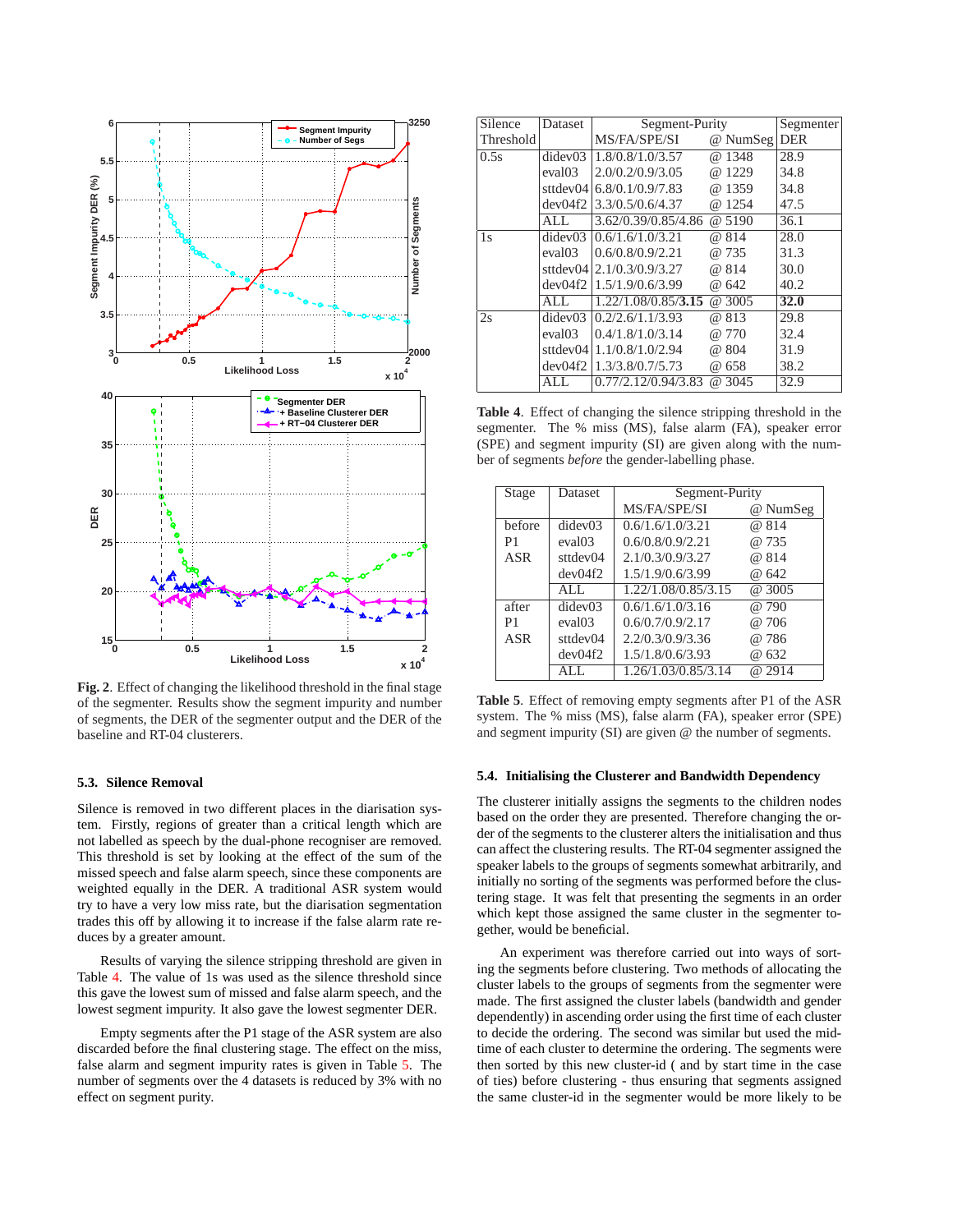<span id="page-3-0"></span>

**Fig. 2**. Effect of changing the likelihood threshold in the final stage of the segmenter. Results show the segment impurity and number of segments, the DER of the segmenter output and the DER of the baseline and RT-04 clusterers.

### **5.3. Silence Removal**

Silence is removed in two different places in the diarisation system. Firstly, regions of greater than a critical length which are not labelled as speech by the dual-phone recogniser are removed. This threshold is set by looking at the effect of the sum of the missed speech and false alarm speech, since these components are weighted equally in the DER. A traditional ASR system would try to have a very low miss rate, but the diarisation segmentation trades this off by allowing it to increase if the false alarm rate reduces by a greater amount.

Results of varying the silence stripping threshold are given in Table 4. The value of 1s was used as the silence threshold since this gave the lowest sum of missed and false alarm speech, and the lowest segment impurity. It also gave the lowest segmenter DER.

Empty segments after the P1 stage of the ASR system are also discarded before the final clustering stage. The effect on the miss, false alarm and segment impurity rates is given in Table 5. The number of segments over the 4 datasets is reduced by 3% with no effect on segment purity.

| Silence   | Dataset            | Segment-Purity            |                  | Segmenter  |
|-----------|--------------------|---------------------------|------------------|------------|
| Threshold |                    | MS/FA/SPE/SI              | @ NumSeg         | <b>DER</b> |
| 0.5s      | didev03            | 1.8/0.8/1.0/3.57          | @ 1348           | 28.9       |
|           | eval03             | 2.0/0.2/0.9/3.05          | 1229<br>$\omega$ | 34.8       |
|           | sttdev04           | 6.8/0.1/0.9/7.83          | @1359            | 34.8       |
|           | dev04f2            | 3.3/0.5/0.6/4.37          | @ 1254           | 47.5       |
|           | ALL.               | 3.62/0.39/0.85/4.86       | @5190            | 36.1       |
| 1s        | didev03            | 0.6/1.6/1.0/3.21          | @ 814            | 28.0       |
|           | eval <sub>03</sub> | 0.6/0.8/0.9/2.21          | @ 735            | 31.3       |
|           | sttdev04           | 2.1/0.3/0.9/3.27          | @ 814            | 30.0       |
|           | dev04f2            | 1.5/1.9/0.6/3.99          | @ 642            | 40.2       |
|           | ALL.               | 1.22/1.08/0.85/3.15       | @3005            | 32.0       |
| 2s        | didev03            | 0.2/2.6/1.1/3.93          | @ 813            | 29.8       |
|           | eval <sub>03</sub> | 0.4/1.8/1.0/3.14          | @ 770            | 32.4       |
|           |                    | sttdev04 1.1/0.8/1.0/2.94 | @ 804            | 31.9       |
|           | dev04f2            | 1.3/3.8/0.7/5.73          | @ 658            | 38.2       |
|           | ALL.               | 0.77/2.12/0.94/3.83       | @ 3045           | 32.9       |

**Table 4**. Effect of changing the silence stripping threshold in the segmenter. The % miss (MS), false alarm (FA), speaker error (SPE) and segment impurity (SI) are given along with the number of segments *before* the gender-labelling phase.

| Stage          | Dataset            | Segment-Purity      |                          |  |  |
|----------------|--------------------|---------------------|--------------------------|--|--|
|                |                    | MS/FA/SPE/SI        | @ NumSeg                 |  |  |
| before         | didev03            | 0.6/1.6/1.0/3.21    | @ 814                    |  |  |
| P <sub>1</sub> | eval <sub>03</sub> | 0.6/0.8/0.9/2.21    | @ 735                    |  |  |
| ASR            | sttdev04           | 2.1/0.3/0.9/3.27    | @ 814                    |  |  |
|                | dev04f2            | 1.5/1.9/0.6/3.99    | @ 642                    |  |  |
|                | AI.                | 1.22/1.08/0.85/3.15 | @ 3005                   |  |  |
| after          | didev03            | 0.6/1.6/1.0/3.16    | @790                     |  |  |
| P1             | eval <sub>03</sub> | 0.6/0.7/0.9/2.17    | @ 706                    |  |  |
| <b>ASR</b>     | sttdev04           | 2.2/0.3/0.9/3.36    | @786                     |  |  |
|                | dev04f2            | 1.5/1.8/0.6/3.93    | 632<br>(a)               |  |  |
|                | AI.                | 1.26/1.03/0.85/3.14 | $\overline{\omega}$ 2914 |  |  |

**Table 5**. Effect of removing empty segments after P1 of the ASR system. The % miss (MS), false alarm (FA), speaker error (SPE) and segment impurity (SI) are given @ the number of segments.

### **5.4. Initialising the Clusterer and Bandwidth Dependency**

The clusterer initially assigns the segments to the children nodes based on the order they are presented. Therefore changing the order of the segments to the clusterer alters the initialisation and thus can affect the clustering results. The RT-04 segmenter assigned the speaker labels to the groups of segments somewhat arbitrarily, and initially no sorting of the segments was performed before the clustering stage. It was felt that presenting the segments in an order which kept those assigned the same cluster in the segmenter together, would be beneficial.

An experiment was therefore carried out into ways of sorting the segments before clustering. Two methods of allocating the cluster labels to the groups of segments from the segmenter were made. The first assigned the cluster labels (bandwidth and gender dependently) in ascending order using the first time of each cluster to decide the ordering. The second was similar but used the midtime of each cluster to determine the ordering. The segments were then sorted by this new cluster-id ( and by start time in the case of ties) before clustering - thus ensuring that segments assigned the same cluster-id in the segmenter would be more likely to be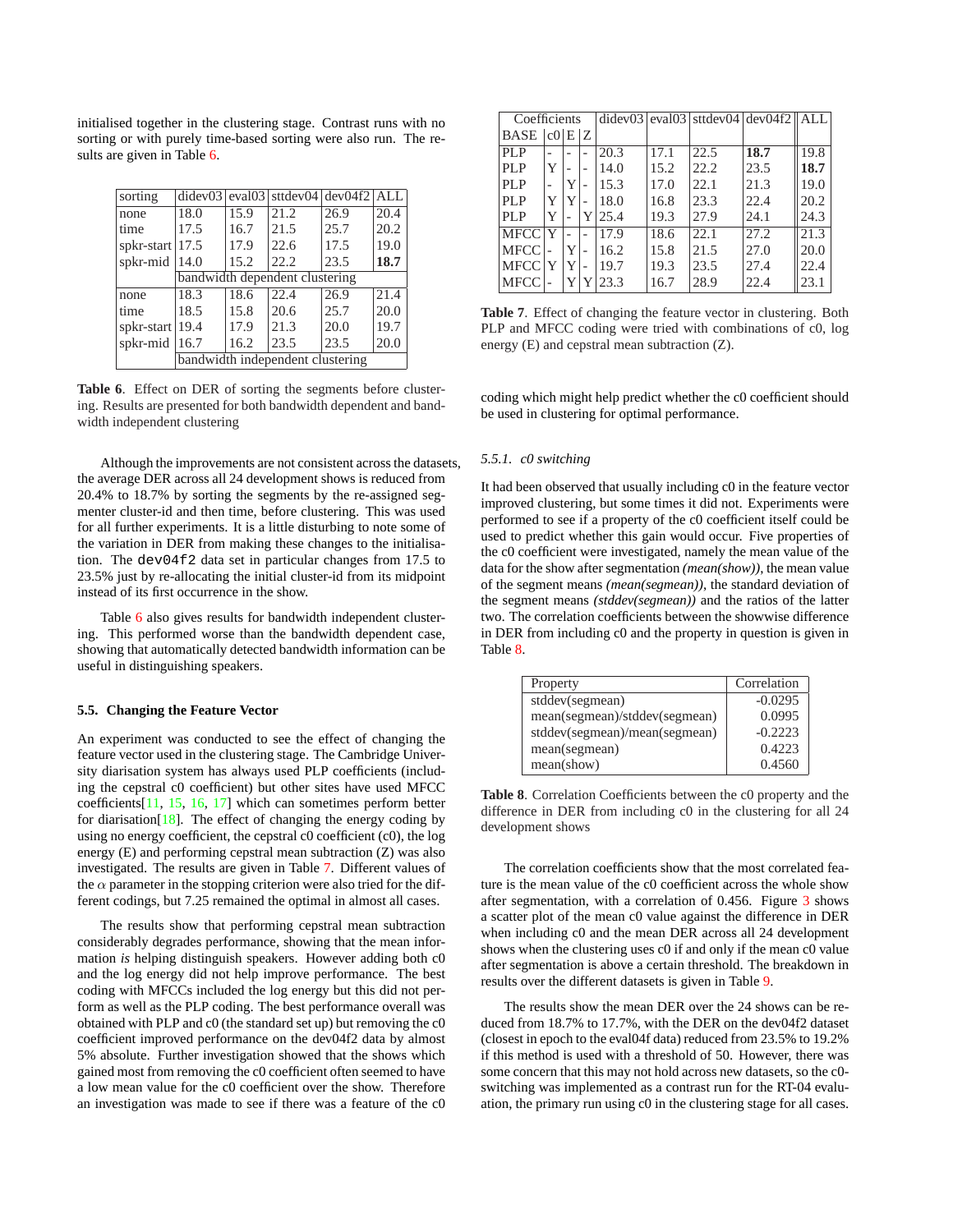initialised together in the clustering stage. Contrast runs with no sorting or with purely time-based sorting were also run. The results are given in Table 6.

| sorting             |                                  |      | $didev03   eval03   stdev04   dev04f2   ALL$ |      |      |  |
|---------------------|----------------------------------|------|----------------------------------------------|------|------|--|
| none                | 18.0                             | 15.9 | 21.2                                         | 26.9 | 20.4 |  |
| time                | 17.5                             | 16.7 | 21.5                                         | 25.7 | 20.2 |  |
| spkr-start $ 17.5$  |                                  | 17.9 | 22.6                                         | 17.5 | 19.0 |  |
| spkr-mid            | 14.0                             | 15.2 | 22.2                                         | 23.5 | 18.7 |  |
|                     | bandwidth dependent clustering   |      |                                              |      |      |  |
| none                | 18.3                             | 18.6 | 22.4                                         | 26.9 | 21.4 |  |
| time                | 18.5                             | 15.8 | 20.6                                         | 25.7 | 20.0 |  |
| spkr-start   $19.4$ |                                  | 17.9 | 21.3                                         | 20.0 | 19.7 |  |
| spkr-mid            | 16.7                             | 16.2 | 23.5                                         | 23.5 | 20.0 |  |
|                     | bandwidth independent clustering |      |                                              |      |      |  |

**Table 6**. Effect on DER of sorting the segments before clustering. Results are presented for both bandwidth dependent and bandwidth independent clustering

Although the improvements are not consistent across the datasets, the average DER across all 24 development shows is reduced from 20.4% to 18.7% by sorting the segments by the re-assigned segmenter cluster-id and then time, before clustering. This was used for all further experiments. It is a little disturbing to note some of the variation in DER from making these changes to the initialisation. The dev04f2 data set in particular changes from 17.5 to 23.5% just by re-allocating the initial cluster-id from its midpoint instead of its first occurrence in the show.

Table 6 also gives results for bandwidth independent clustering. This performed worse than the bandwidth dependent case, showing that automatically detected bandwidth information can be useful in distinguishing speakers.

### **5.5. Changing the Feature Vector**

An experiment was conducted to see the effect of changing the feature vector used in the clustering stage. The Cambridge University diarisation system has always used PLP coefficients (including the cepstral c0 coefficient) but other sites have used MFCC coefficients[\[11,](#page-7-0) [15,](#page-7-0) [16,](#page-7-0) [17\]](#page-7-0) which can sometimes perform better for diarisation[ $18$ ]. The effect of changing the energy coding by using no energy coefficient, the cepstral c0 coefficient (c0), the log energy (E) and performing cepstral mean subtraction (Z) was also investigated. The results are given in Table 7. Different values of the  $\alpha$  parameter in the stopping criterion were also tried for the different codings, but 7.25 remained the optimal in almost all cases.

The results show that performing cepstral mean subtraction considerably degrades performance, showing that the mean information *is* helping distinguish speakers. However adding both c0 and the log energy did not help improve performance. The best coding with MFCCs included the log energy but this did not perform as well as the PLP coding. The best performance overall was obtained with PLP and c0 (the standard set up) but removing the c0 coefficient improved performance on the dev04f2 data by almost 5% absolute. Further investigation showed that the shows which gained most from removing the c0 coefficient often seemed to have a low mean value for the c0 coefficient over the show. Therefore an investigation was made to see if there was a feature of the c0

| Coefficients |        |   |   |      | $didev03   eval03   stdev04   dev04f2    ALL$ |      |      |      |
|--------------|--------|---|---|------|-----------------------------------------------|------|------|------|
| BASE         | c0 E Z |   |   |      |                                               |      |      |      |
| PLP          |        |   |   | 20.3 | 17.1                                          | 22.5 | 18.7 | 19.8 |
| PLP          | Y      |   |   | 14.0 | 15.2                                          | 22.2 | 23.5 | 18.7 |
| PLP          |        | Y |   | 15.3 | 17.0                                          | 22.1 | 21.3 | 19.0 |
| PLP          | Y      | Y |   | 18.0 | 16.8                                          | 23.3 | 22.4 | 20.2 |
| PLP          | Y      | - | Y | 25.4 | 19.3                                          | 27.9 | 24.1 | 24.3 |
| <b>MFCC</b>  | Y      |   |   | 17.9 | 18.6                                          | 22.1 | 27.2 | 21.3 |
| <b>MFCC</b>  |        | Y |   | 16.2 | 15.8                                          | 21.5 | 27.0 | 20.0 |
| <b>MFCC</b>  | Y      | Y |   | 19.7 | 19.3                                          | 23.5 | 27.4 | 22.4 |
| <b>MFCC</b>  |        | Y |   | 23.3 | 16.7                                          | 28.9 | 22.4 | 23.1 |

**Table 7**. Effect of changing the feature vector in clustering. Both PLP and MFCC coding were tried with combinations of c0, log energy (E) and cepstral mean subtraction (Z).

coding which might help predict whether the c0 coefficient should be used in clustering for optimal performance.

### *5.5.1. c0 switching*

It had been observed that usually including c0 in the feature vector improved clustering, but some times it did not. Experiments were performed to see if a property of the c0 coefficient itself could be used to predict whether this gain would occur. Five properties of the c0 coefficient were investigated, namely the mean value of the data for the show after segmentation *(mean(show))*, the mean value of the segment means *(mean(segmean))*, the standard deviation of the segment means *(stddev(segmean))* and the ratios of the latter two. The correlation coefficients between the showwise difference in DER from including c0 and the property in question is given in Table 8.

| Property                      | Correlation |
|-------------------------------|-------------|
| stddev(segmean)               | $-0.0295$   |
| mean(segmean)/stddev(segmean) | 0.0995      |
| stddev(segmean)/mean(segmean) | $-0.2223$   |
| mean(segmean)                 | 0.4223      |
| mean(show)                    | 0.4560      |

**Table 8**. Correlation Coefficients between the c0 property and the difference in DER from including c0 in the clustering for all 24 development shows

The correlation coefficients show that the most correlated feature is the mean value of the c0 coefficient across the whole show after segmentation, with a correlation of 0.456. Figure [3](#page-5-0) shows a scatter plot of the mean c0 value against the difference in DER when including c0 and the mean DER across all 24 development shows when the clustering uses c0 if and only if the mean c0 value after segmentation is above a certain threshold. The breakdown in results over the different datasets is given in Table [9.](#page-5-0)

The results show the mean DER over the 24 shows can be reduced from 18.7% to 17.7%, with the DER on the dev04f2 dataset (closest in epoch to the eval04f data) reduced from 23.5% to 19.2% if this method is used with a threshold of 50. However, there was some concern that this may not hold across new datasets, so the c0 switching was implemented as a contrast run for the RT-04 evaluation, the primary run using c0 in the clustering stage for all cases.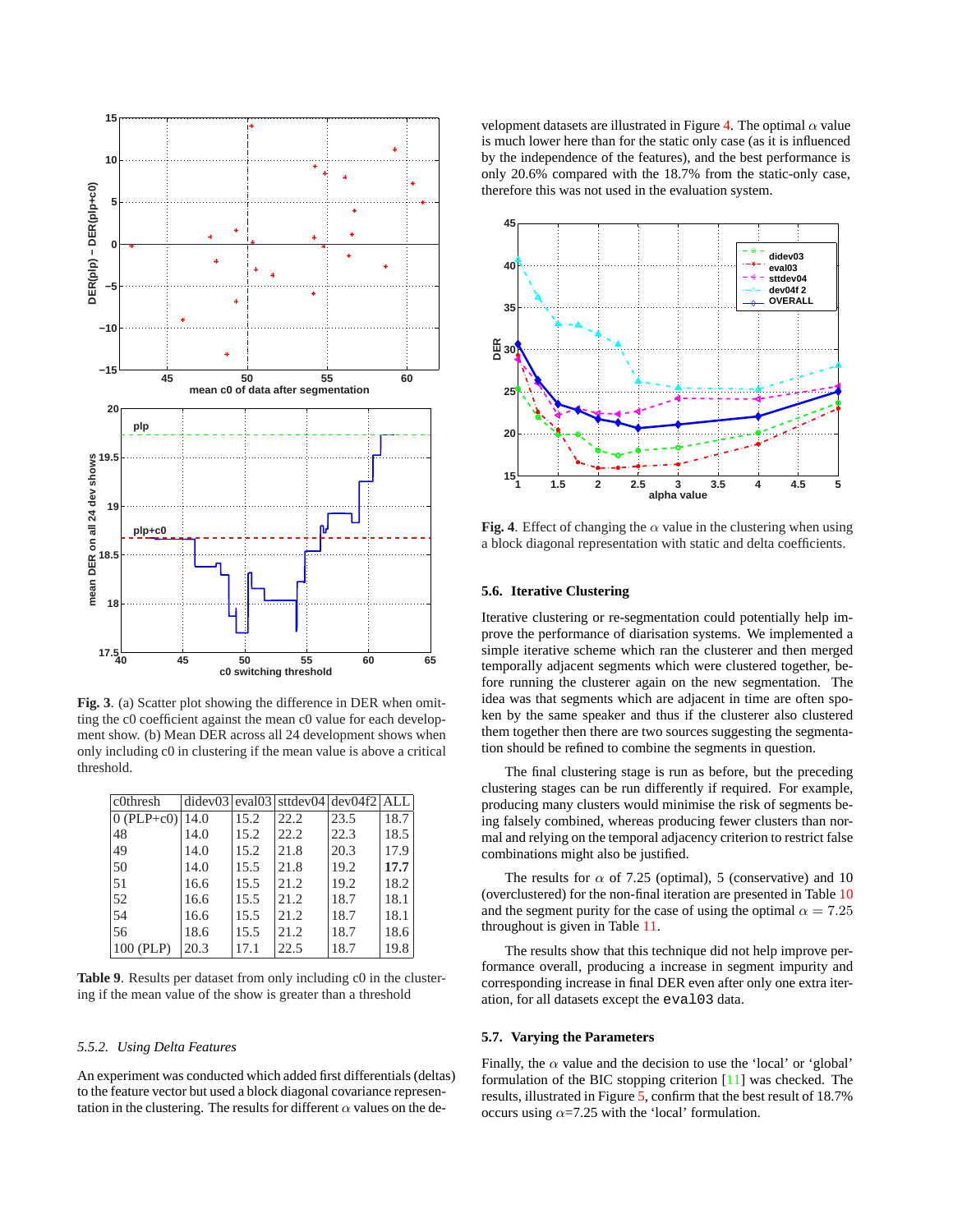<span id="page-5-0"></span>

**Fig. 3**. (a) Scatter plot showing the difference in DER when omitting the c0 coefficient against the mean c0 value for each development show. (b) Mean DER across all 24 development shows when only including c0 in clustering if the mean value is above a critical threshold.

| c0thresh               |      |      | $didev03   eval03   stdev04   dev04f2   ALL$ |      |      |
|------------------------|------|------|----------------------------------------------|------|------|
| $ 0 (PLP + c0)   14.0$ |      | 15.2 | 22.2                                         | 23.5 | 18.7 |
| 48                     | 14.0 | 15.2 | 22.2                                         | 22.3 | 18.5 |
| 49                     | 14.0 | 15.2 | 21.8                                         | 20.3 | 17.9 |
| 50                     | 14.0 | 15.5 | 21.8                                         | 19.2 | 17.7 |
| 51                     | 16.6 | 15.5 | 21.2                                         | 19.2 | 18.2 |
| 52                     | 16.6 | 15.5 | 21.2                                         | 18.7 | 18.1 |
| 54                     | 16.6 | 15.5 | 21.2                                         | 18.7 | 18.1 |
| 56                     | 18.6 | 15.5 | 21.2                                         | 18.7 | 18.6 |
| $100$ (PLP)            | 20.3 | 17.1 | 22.5                                         | 18.7 | 19.8 |

Table 9. Results per dataset from only including c0 in the clustering if the mean value of the show is greater than a threshold

#### *5.5.2. Using Delta Features*

An experiment was conducted which added first differentials (deltas) to the feature vector but used a block diagonal covariance representation in the clustering. The results for different  $\alpha$  values on the development datasets are illustrated in Figure 4. The optimal  $\alpha$  value is much lower here than for the static only case (as it is influenced by the independence of the features), and the best performance is only 20.6% compared with the 18.7% from the static-only case, therefore this was not used in the evaluation system.



**Fig. 4**. Effect of changing the  $\alpha$  value in the clustering when using a block diagonal representation with static and delta coefficients.

## **5.6. Iterative Clustering**

Iterative clustering or re-segmentation could potentially help improve the performance of diarisation systems. We implemented a simple iterative scheme which ran the clusterer and then merged temporally adjacent segments which were clustered together, before running the clusterer again on the new segmentation. The idea was that segments which are adjacent in time are often spoken by the same speaker and thus if the clusterer also clustered them together then there are two sources suggesting the segmentation should be refined to combine the segments in question.

The final clustering stage is run as before, but the preceding clustering stages can be run differently if required. For example, producing many clusters would minimise the risk of segments being falsely combined, whereas producing fewer clusters than normal and relying on the temporal adjacency criterion to restrict false combinations might also be justified.

The results for  $\alpha$  of 7.25 (optimal), 5 (conservative) an[d 10](#page-6-0) (overclustered) for the non-final iteration are presented in Table 10 and the segment purity for t[he c](#page-6-0)ase of using the optimal  $\alpha = 7.25$ throughout is given in Table 11.

The results show that this technique did not help improve performance overall, producing a increase in segment impurity and corresponding increase in final DER even after only one extra iteration, for all datasets except the eval03 data.

### **5.7. Varying the Parameters**

Finally, the  $\alpha$  value and the decision to us[e th](#page-7-0)e 'local' or 'global' formulation of the BIC sto[pp](#page-6-0)ing criterion [11] was checked. The results, illustrated in Figure 5, confirm that the best result of 18.7% occurs using  $\alpha$ =7.25 with the 'local' formulation.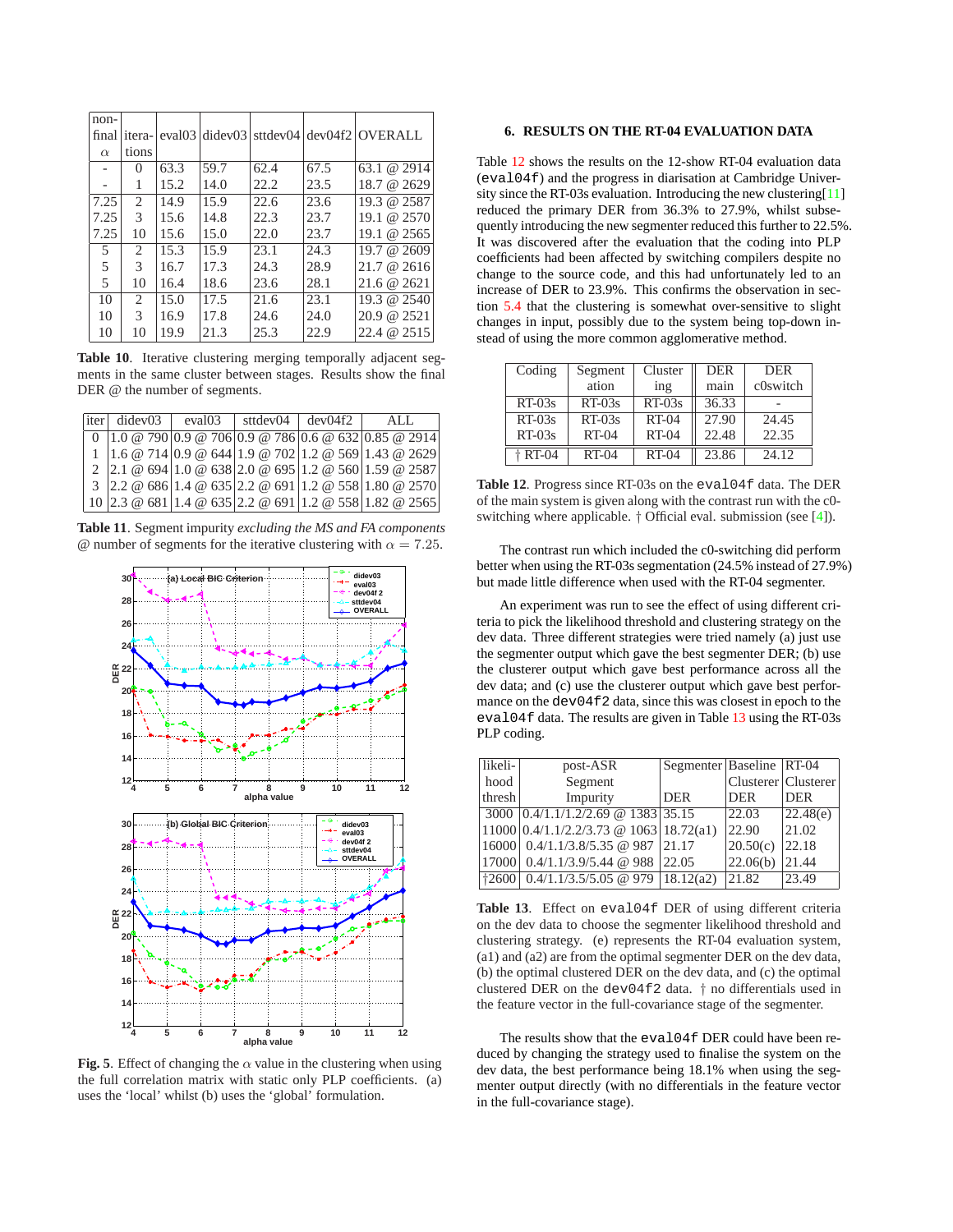<span id="page-6-0"></span>

| non-<br>final | itera-l        |      |      |      |      | eval03 didev03 sttdev04 dev04f2 OVERALL |
|---------------|----------------|------|------|------|------|-----------------------------------------|
| $\alpha$      | tions          |      |      |      |      |                                         |
|               | 0              | 63.3 | 59.7 | 62.4 | 67.5 | 63.1 @ 2914                             |
|               |                | 15.2 | 14.0 | 22.2 | 23.5 | 18.7 @ 2629                             |
| 7.25          | $\overline{2}$ | 14.9 | 15.9 | 22.6 | 23.6 | 19.3 @ 2587                             |
| 7.25          | 3              | 15.6 | 14.8 | 22.3 | 23.7 | 19.1 @ $2570$                           |
| 7.25          | 10             | 15.6 | 15.0 | 22.0 | 23.7 | 19.1 @ 2565                             |
| 5             | 2              | 15.3 | 15.9 | 23.1 | 24.3 | $19.7 \omega$ 2609                      |
| 5             | 3              | 16.7 | 17.3 | 24.3 | 28.9 | $21.7 \& 2616$                          |
| 5             | 10             | 16.4 | 18.6 | 23.6 | 28.1 | $21.6 \& 2621$                          |
| 10            | 2              | 15.0 | 17.5 | 21.6 | 23.1 | 19.3 @ 2540                             |
| 10            | 3              | 16.9 | 17.8 | 24.6 | 24.0 | $20.9 \omega 2521$                      |
| 10            | 10             | 19.9 | 21.3 | 25.3 | 22.9 | 22.4 @ 2515                             |

**Table 10**. Iterative clustering merging temporally adjacent segments in the same cluster between stages. Results show the final DER  $@$  the number of segments.

|  |  | iter  didev03   eval03   sttdev04   dev04f2 | ALL.                                                                                                             |
|--|--|---------------------------------------------|------------------------------------------------------------------------------------------------------------------|
|  |  |                                             |                                                                                                                  |
|  |  |                                             | $\mid$ 0 $\mid$ 1.0 @ 790 $\mid$ 0.9 @ 706 $\mid$ 0.9 @ 786 $\mid$ 0.6 @ 632 $\mid$ 0.85 @ 2914                  |
|  |  |                                             | $1 1.6 \odot 714 0.9 \odot 644 1.9 \odot 702 1.2 \odot 569 1.43 \odot 2629$                                      |
|  |  |                                             | 2 2.1 @ 694 1.0 @ 638 2.0 @ 695 1.2 @ 560 1.59 @ 2587                                                            |
|  |  |                                             | $3$ 2.2 @ 686 1.4 @ 635 2.2 @ 691 1.2 @ 558 1.80 @ 2570                                                          |
|  |  |                                             | $ 10 2.3 \circledcirc 681 1.4 \circledcirc 635 2.2 \circledcirc 691 1.2 \circledcirc 558 1.82 \circledcirc 2565$ |

**Table 11**. Segment impurity *excluding the MS and FA components* @ number of segments for the iterative clustering with  $\alpha = 7.25$ .



**Fig. 5**. Effect of changing the  $\alpha$  value in the clustering when using the full correlation matrix with static only PLP coefficients. (a) uses the 'local' whilst (b) uses the 'global' formulation.

# **6. RESULTS ON THE RT-04 EVALUATION DATA**

Table 12 shows the results on the 12-show RT-04 evaluation data (eval04f) and the progress in diarisation at Cambridge Unive[r](#page-7-0)sity since the RT-03s evaluation. Introducing the new clustering [11] reduced the primary DER from 36.3% to 27.9%, whilst subsequently introducing the new segmenter reduced this further to 22.5%. It was discovered after the evaluation that the coding into PLP coefficients had been affected by switching compilers despite no change to the source code, and this had unfortunately led to an incre[ase o](#page-3-0)f DER to 23.9%. This confirms the observation in section 5.4 that the clustering is somewhat over-sensitive to slight changes in input, possibly due to the system being top-down instead of using the more common agglomerative method.

| Coding    | Segment   | Cluster       | <b>DER</b> | <b>DER</b> |
|-----------|-----------|---------------|------------|------------|
|           | ation     | $\frac{1}{2}$ | main       | c0switch   |
| $RT-0.3s$ | $RT-0.3s$ | $RT-0.3s$     | 36.33      |            |
| $RT-0.3s$ | $RT-0.3s$ | $RT-04$       | 27.90      | 24.45      |
| $RT-03s$  | $RT-04$   | $RT-04$       | 22.48      | 22.35      |
| $+ RT-04$ | $RT-04$   | $RT-04$       | 23.86      | 24.12      |

**Table 12**. Progress since RT-03s on the eval04f data. The DER of the main system is given along with the contrast run with the c0 switching where applicable. † Official eval. submission (see [[4\]\).](#page-7-0)

The contrast run which included the c0-switching did perform better when using the RT-03s segmentation (24.5% instead of 27.9%) but made little difference when used with the RT-04 segmenter.

An experiment was run to see the effect of using different criteria to pick the likelihood threshold and clustering strategy on the dev data. Three different strategies were tried namely (a) just use the segmenter output which gave the best segmenter DER; (b) use the clusterer output which gave best performance across all the dev data; and (c) use the clusterer output which gave best performance on the dev04f2 data, since this was closest in epoch to the eval04f data. The results are given in Table 13 using the RT-03s PLP coding.

| likeli-   | post-ASR                                         | Segmenter   Baseline   RT-04 |            |                       |
|-----------|--------------------------------------------------|------------------------------|------------|-----------------------|
| hood      | Segment                                          |                              |            | Clusterer   Clusterer |
| thresh    | Impurity                                         | <b>DER</b>                   | <b>DER</b> | <b>DER</b>            |
|           | 3000 0.4/1.1/1.2/2.69 @ 1383 35.15               |                              | 22.03      | 22.48(e)              |
|           | $11000 0.4/1.1/2.2/3.73 \n\omega 1063 18.72(a1)$ |                              | 22.90      | 21.02                 |
| 16000     | $0.4/1.1/3.8/5.35$ @ 987                         | 21.17                        | 20.50(c)   | 22.18                 |
| 17000     | $0.4/1.1/3.9/5.44 \ @.988$                       | 22.05                        | 22.06(b)   | 21.44                 |
| $ +2600 $ | $0.4/1.1/3.5/5.05$ @ 979                         | 18.12(a2)                    | 21.82      | 23.49                 |

Table 13. Effect on eval04f DER of using different criteria on the dev data to choose the segmenter likelihood threshold and clustering strategy. (e) represents the RT-04 evaluation system, (a1) and (a2) are from the optimal segmenter DER on the dev data, (b) the optimal clustered DER on the dev data, and (c) the optimal clustered DER on the dev04f2 data. † no differentials used in the feature vector in the full-covariance stage of the segmenter.

The results show that the eval04f DER could have been reduced by changing the strategy used to finalise the system on the dev data, the best performance being 18.1% when using the segmenter output directly (with no differentials in the feature vector in the full-covariance stage).